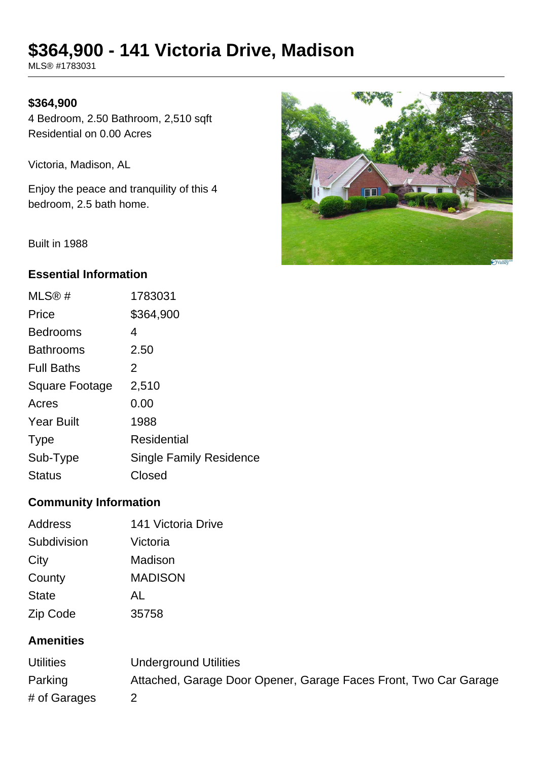# **\$364,900 - 141 Victoria Drive, Madison**

MLS® #1783031

#### **\$364,900**

4 Bedroom, 2.50 Bathroom, 2,510 sqft Residential on 0.00 Acres

Victoria, Madison, AL

Enjoy the peace and tranquility of this 4 bedroom, 2.5 bath home.



Built in 1988

## **Essential Information**

| 1783031                        |
|--------------------------------|
| \$364,900                      |
| 4                              |
| 2.50                           |
| 2                              |
| 2,510                          |
| 0.00                           |
| 1988                           |
| Residential                    |
| <b>Single Family Residence</b> |
| Closed                         |
|                                |

# **Community Information**

| <b>Address</b> | 141 Victoria Drive |
|----------------|--------------------|
| Subdivision    | Victoria           |
| City           | Madison            |
| County         | <b>MADISON</b>     |
| <b>State</b>   | AL                 |
| Zip Code       | 35758              |

# **Amenities**

| <b>Utilities</b> | Underground Utilities                                            |
|------------------|------------------------------------------------------------------|
| Parking          | Attached, Garage Door Opener, Garage Faces Front, Two Car Garage |
| # of Garages     |                                                                  |